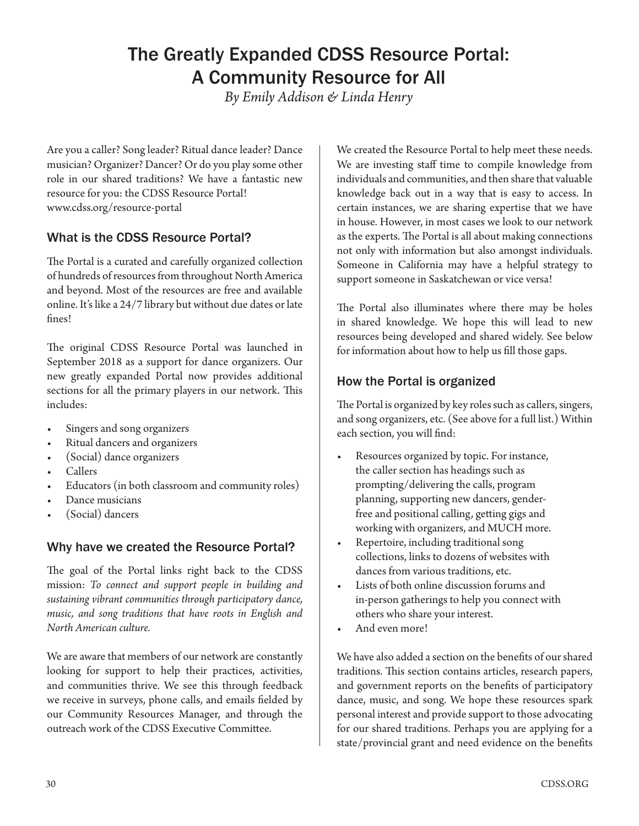# The Greatly Expanded CDSS Resource Portal: A Community Resource for All

*By Emily Addison & Linda Henry*

Are you a caller? Song leader? Ritual dance leader? Dance musician? Organizer? Dancer? Or do you play some other role in our shared traditions? We have a fantastic new resource for you: the CDSS Resource Portal! www.cdss.org/resource-portal

# What is the CDSS Resource Portal?

The Portal is a curated and carefully organized collection of hundreds of resources from throughout North America and beyond. Most of the resources are free and available online. It's like a 24/7 library but without due dates or late fines!

The original CDSS Resource Portal was launched in September 2018 as a support for dance organizers. Our new greatly expanded Portal now provides additional sections for all the primary players in our network. This includes:

- Singers and song organizers
- Ritual dancers and organizers
- (Social) dance organizers
- Callers
- Educators (in both classroom and community roles)
- Dance musicians
- (Social) dancers

## Why have we created the Resource Portal?

The goal of the Portal links right back to the CDSS mission: *To connect and support people in building and sustaining vibrant communities through participatory dance, music, and song traditions that have roots in English and North American culture.*

We are aware that members of our network are constantly looking for support to help their practices, activities, and communities thrive. We see this through feedback we receive in surveys, phone calls, and emails fielded by our Community Resources Manager, and through the outreach work of the CDSS Executive Committee.

We created the Resource Portal to help meet these needs. We are investing staff time to compile knowledge from individuals and communities, and then share that valuable knowledge back out in a way that is easy to access. In certain instances, we are sharing expertise that we have in house. However, in most cases we look to our network as the experts. The Portal is all about making connections not only with information but also amongst individuals. Someone in California may have a helpful strategy to support someone in Saskatchewan or vice versa!

The Portal also illuminates where there may be holes in shared knowledge. We hope this will lead to new resources being developed and shared widely. See below for information about how to help us fill those gaps.

## How the Portal is organized

The Portal is organized by key roles such as callers, singers, and song organizers, etc. (See above for a full list.) Within each section, you will find:

- Resources organized by topic. For instance, the caller section has headings such as prompting/delivering the calls, program planning, supporting new dancers, genderfree and positional calling, getting gigs and working with organizers, and MUCH more.
- Repertoire, including traditional song collections, links to dozens of websites with dances from various traditions, etc.
- Lists of both online discussion forums and in-person gatherings to help you connect with others who share your interest.
- And even more!

We have also added a section on the benefits of our shared traditions. This section contains articles, research papers, and government reports on the benefits of participatory dance, music, and song. We hope these resources spark personal interest and provide support to those advocating for our shared traditions. Perhaps you are applying for a state/provincial grant and need evidence on the benefits